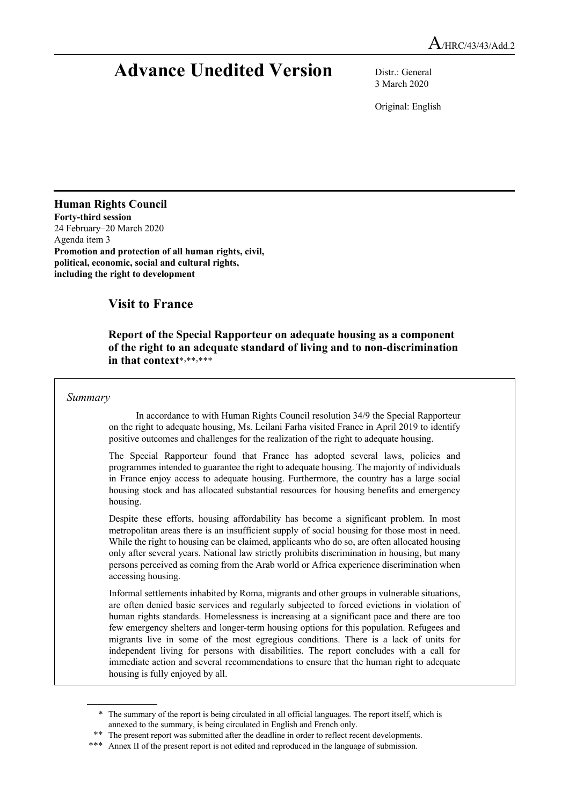## **Advance Unedited Version** Distr.: General

3 March 2020

Original: English

### **Human Rights Council**

**Forty-third session**  24 February–20 March 2020 Agenda item 3 **Promotion and protection of all human rights, civil, political, economic, social and cultural rights, including the right to development**

## **Visit to France**

#### **Report of the Special Rapporteur on adequate housing as a component of the right to an adequate standard of living and to non-discrimination**  in that context\*,\*\*\*\*\*\*

#### *Summary*

In accordance to with Human Rights Council resolution 34/9 the Special Rapporteur on the right to adequate housing, Ms. Leilani Farha visited France in April 2019 to identify positive outcomes and challenges for the realization of the right to adequate housing.

The Special Rapporteur found that France has adopted several laws, policies and programmes intended to guarantee the right to adequate housing. The majority of individuals in France enjoy access to adequate housing. Furthermore, the country has a large social housing stock and has allocated substantial resources for housing benefits and emergency housing.

Despite these efforts, housing affordability has become a significant problem. In most metropolitan areas there is an insufficient supply of social housing for those most in need. While the right to housing can be claimed, applicants who do so, are often allocated housing only after several years. National law strictly prohibits discrimination in housing, but many persons perceived as coming from the Arab world or Africa experience discrimination when accessing housing.

Informal settlements inhabited by Roma, migrants and other groups in vulnerable situations, are often denied basic services and regularly subjected to forced evictions in violation of human rights standards. Homelessness is increasing at a significant pace and there are too few emergency shelters and longer-term housing options for this population. Refugees and migrants live in some of the most egregious conditions. There is a lack of units for independent living for persons with disabilities. The report concludes with a call for immediate action and several recommendations to ensure that the human right to adequate housing is fully enjoyed by all.

<sup>\*</sup> The summary of the report is being circulated in all official languages. The report itself, which is annexed to the summary, is being circulated in English and French only.

<sup>\*\*</sup> The present report was submitted after the deadline in order to reflect recent developments.<br>\*\*\* Annax II of the present report is not edited and reproduced in the language of submission

Annex II of the present report is not edited and reproduced in the language of submission.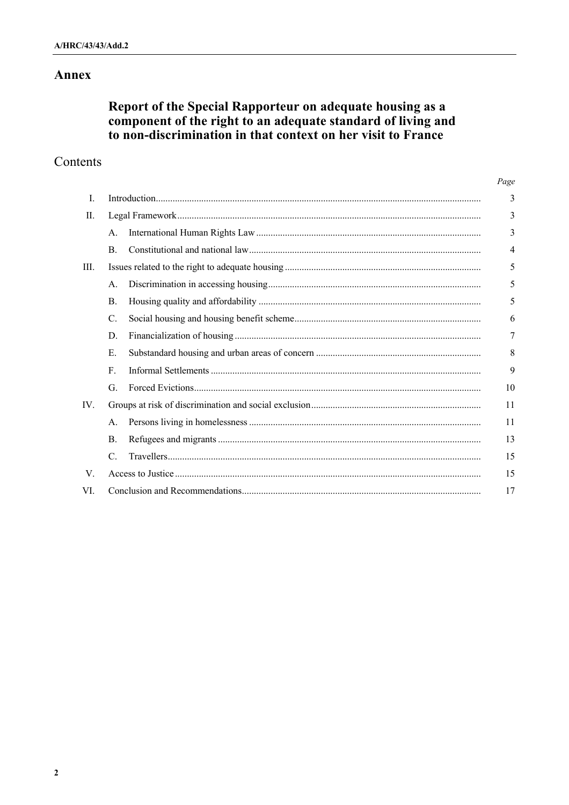## Annex

# Report of the Special Rapporteur on adequate housing as a<br>component of the right to an adequate standard of living and to non-discrimination in that context on her visit to France

 $\sim$ 

## Contents

|                 |  | Page |
|-----------------|--|------|
|                 |  | 3    |
|                 |  | 3    |
| А.              |  | 3    |
| <b>B.</b>       |  | 4    |
|                 |  | 5    |
| A.              |  | 5    |
| <b>B.</b>       |  | 5    |
| $\mathcal{C}$ . |  | 6    |
| D.              |  | 7    |
| E.              |  | 8    |
| $F_{\rm c}$     |  | 9    |
| G.              |  | 10   |
|                 |  | 11   |
| A.              |  | 11   |
| B.              |  | 13   |
| $\mathcal{C}$ . |  | 15   |
|                 |  | 15   |
|                 |  | 17   |
|                 |  |      |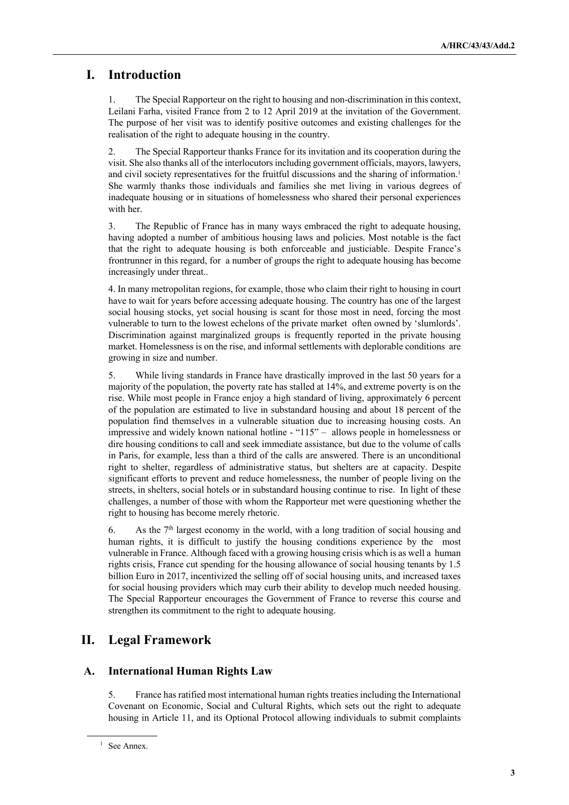## **I. Introduction**

1. The Special Rapporteur on the right to housing and non-discrimination in this context, Leilani Farha, visited France from 2 to 12 April 2019 at the invitation of the Government. The purpose of her visit was to identify positive outcomes and existing challenges for the realisation of the right to adequate housing in the country.

2. The Special Rapporteur thanks France for its invitation and its cooperation during the visit. She also thanks all of the interlocutors including government officials, mayors, lawyers, and civil society representatives for the fruitful discussions and the sharing of information.<sup>1</sup> She warmly thanks those individuals and families she met living in various degrees of inadequate housing or in situations of homelessness who shared their personal experiences with her.

3. The Republic of France has in many ways embraced the right to adequate housing, having adopted a number of ambitious housing laws and policies. Most notable is the fact that the right to adequate housing is both enforceable and justiciable. Despite France's frontrunner in this regard, for a number of groups the right to adequate housing has become increasingly under threat..

4. In many metropolitan regions, for example, those who claim their right to housing in court have to wait for years before accessing adequate housing. The country has one of the largest social housing stocks, yet social housing is scant for those most in need, forcing the most vulnerable to turn to the lowest echelons of the private market often owned by 'slumlords'. Discrimination against marginalized groups is frequently reported in the private housing market. Homelessness is on the rise, and informal settlements with deplorable conditions are growing in size and number.

5. While living standards in France have drastically improved in the last 50 years for a majority of the population, the poverty rate has stalled at 14%, and extreme poverty is on the rise. While most people in France enjoy a high standard of living, approximately 6 percent of the population are estimated to live in substandard housing and about 18 percent of the population find themselves in a vulnerable situation due to increasing housing costs. An impressive and widely known national hotline - "115" – allows people in homelessness or dire housing conditions to call and seek immediate assistance, but due to the volume of calls in Paris, for example, less than a third of the calls are answered. There is an unconditional right to shelter, regardless of administrative status, but shelters are at capacity. Despite significant efforts to prevent and reduce homelessness, the number of people living on the streets, in shelters, social hotels or in substandard housing continue to rise. In light of these challenges, a number of those with whom the Rapporteur met were questioning whether the right to housing has become merely rhetoric.

6. As the  $7<sup>th</sup>$  largest economy in the world, with a long tradition of social housing and human rights, it is difficult to justify the housing conditions experience by the most vulnerable in France. Although faced with a growing housing crisis which is as well a human rights crisis, France cut spending for the housing allowance of social housing tenants by 1.5 billion Euro in 2017, incentivized the selling off of social housing units, and increased taxes for social housing providers which may curb their ability to develop much needed housing. The Special Rapporteur encourages the Government of France to reverse this course and strengthen its commitment to the right to adequate housing.

## **II. Legal Framework**

#### **A. International Human Rights Law**

5. France has ratified most international human rights treaties including the International Covenant on Economic, Social and Cultural Rights, which sets out the right to adequate housing in Article 11, and its Optional Protocol allowing individuals to submit complaints

<sup>&</sup>lt;sup>1</sup> See Annex.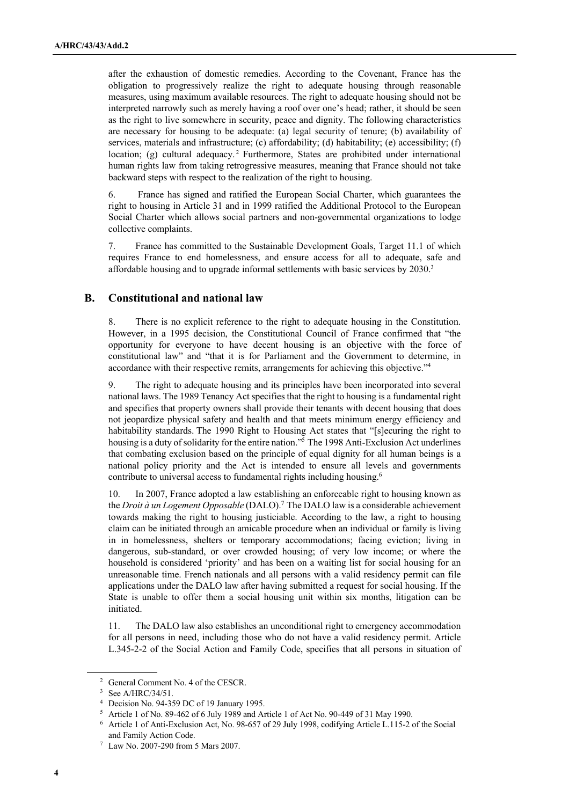after the exhaustion of domestic remedies. According to the Covenant, France has the obligation to progressively realize the right to adequate housing through reasonable measures, using maximum available resources. The right to adequate housing should not be interpreted narrowly such as merely having a roof over one's head; rather, it should be seen as the right to live somewhere in security, peace and dignity. The following characteristics are necessary for housing to be adequate: (a) legal security of tenure; (b) availability of services, materials and infrastructure; (c) affordability; (d) habitability; (e) accessibility; (f) location; (g) cultural adequacy.<sup>2</sup> Furthermore, States are prohibited under international human rights law from taking retrogressive measures, meaning that France should not take backward steps with respect to the realization of the right to housing.

6. France has signed and ratified the European Social Charter, which guarantees the right to housing in Article 31 and in 1999 ratified the Additional Protocol to the European Social Charter which allows social partners and non-governmental organizations to lodge collective complaints.

7. France has committed to the Sustainable Development Goals, Target 11.1 of which requires France to end homelessness, and ensure access for all to adequate, safe and affordable housing and to upgrade informal settlements with basic services by 2030.3

#### **B. Constitutional and national law**

8. There is no explicit reference to the right to adequate housing in the Constitution. However, in a 1995 decision, the Constitutional Council of France confirmed that "the opportunity for everyone to have decent housing is an objective with the force of constitutional law" and "that it is for Parliament and the Government to determine, in accordance with their respective remits, arrangements for achieving this objective."4

9. The right to adequate housing and its principles have been incorporated into several national laws. The 1989 Tenancy Act specifies that the right to housing is a fundamental right and specifies that property owners shall provide their tenants with decent housing that does not jeopardize physical safety and health and that meets minimum energy efficiency and habitability standards. The 1990 Right to Housing Act states that "[s]ecuring the right to housing is a duty of solidarity for the entire nation."5 The 1998 Anti-Exclusion Act underlines that combating exclusion based on the principle of equal dignity for all human beings is a national policy priority and the Act is intended to ensure all levels and governments contribute to universal access to fundamental rights including housing.6

10. In 2007, France adopted a law establishing an enforceable right to housing known as the *Droit à un Logement Opposable* (DALO).7 The DALO law is a considerable achievement towards making the right to housing justiciable. According to the law, a right to housing claim can be initiated through an amicable procedure when an individual or family is living in in homelessness, shelters or temporary accommodations; facing eviction; living in dangerous, sub-standard, or over crowded housing; of very low income; or where the household is considered 'priority' and has been on a waiting list for social housing for an unreasonable time. French nationals and all persons with a valid residency permit can file applications under the DALO law after having submitted a request for social housing. If the State is unable to offer them a social housing unit within six months, litigation can be initiated.

11. The DALO law also establishes an unconditional right to emergency accommodation for all persons in need, including those who do not have a valid residency permit. Article L.345-2-2 of the Social Action and Family Code, specifies that all persons in situation of

<sup>2</sup> General Comment No. 4 of the CESCR.

<sup>3</sup> See A/HRC/34/51.

<sup>4</sup> Decision No. 94-359 DC of 19 January 1995.

<sup>5</sup> Article 1 of No. 89-462 of 6 July 1989 and Article 1 of Act No. 90-449 of 31 May 1990.

<sup>6</sup> Article 1 of Anti-Exclusion Act, No. 98-657 of 29 July 1998, codifying Article L.115-2 of the Social and Family Action Code.

<sup>7</sup> Law No. 2007-290 from 5 Mars 2007.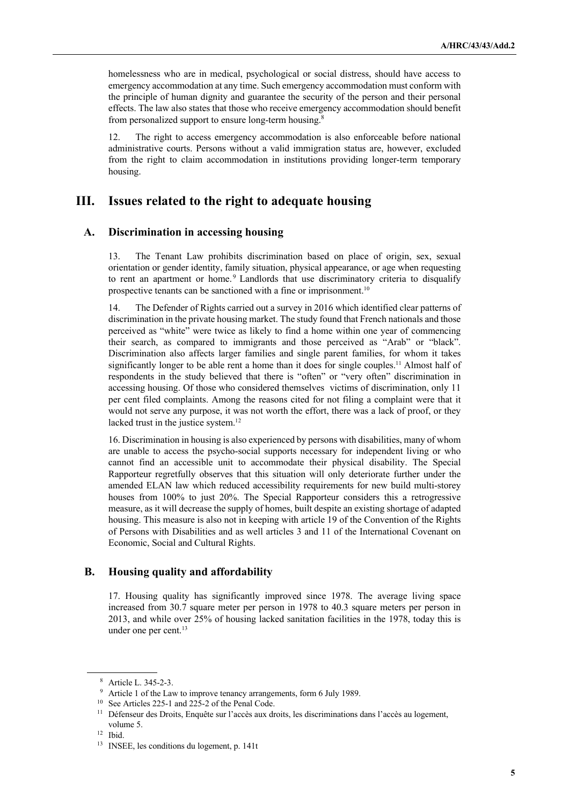homelessness who are in medical, psychological or social distress, should have access to emergency accommodation at any time. Such emergency accommodation must conform with the principle of human dignity and guarantee the security of the person and their personal effects. The law also states that those who receive emergency accommodation should benefit from personalized support to ensure long-term housing.<sup>8</sup>

12. The right to access emergency accommodation is also enforceable before national administrative courts. Persons without a valid immigration status are, however, excluded from the right to claim accommodation in institutions providing longer-term temporary housing.

## **III. Issues related to the right to adequate housing**

#### **A. Discrimination in accessing housing**

13. The Tenant Law prohibits discrimination based on place of origin, sex, sexual orientation or gender identity, family situation, physical appearance, or age when requesting to rent an apartment or home.<sup>9</sup> Landlords that use discriminatory criteria to disqualify prospective tenants can be sanctioned with a fine or imprisonment.<sup>10</sup>

14. The Defender of Rights carried out a survey in 2016 which identified clear patterns of discrimination in the private housing market. The study found that French nationals and those perceived as "white" were twice as likely to find a home within one year of commencing their search, as compared to immigrants and those perceived as "Arab" or "black". Discrimination also affects larger families and single parent families, for whom it takes significantly longer to be able rent a home than it does for single couples.<sup>11</sup> Almost half of respondents in the study believed that there is "often" or "very often" discrimination in accessing housing. Of those who considered themselves victims of discrimination, only 11 per cent filed complaints. Among the reasons cited for not filing a complaint were that it would not serve any purpose, it was not worth the effort, there was a lack of proof, or they lacked trust in the justice system.<sup>12</sup>

16. Discrimination in housing is also experienced by persons with disabilities, many of whom are unable to access the psycho-social supports necessary for independent living or who cannot find an accessible unit to accommodate their physical disability. The Special Rapporteur regretfully observes that this situation will only deteriorate further under the amended ELAN law which reduced accessibility requirements for new build multi-storey houses from 100% to just 20%. The Special Rapporteur considers this a retrogressive measure, as it will decrease the supply of homes, built despite an existing shortage of adapted housing. This measure is also not in keeping with article 19 of the Convention of the Rights of Persons with Disabilities and as well articles 3 and 11 of the International Covenant on Economic, Social and Cultural Rights.

#### **B. Housing quality and affordability**

17. Housing quality has significantly improved since 1978. The average living space increased from 30.7 square meter per person in 1978 to 40.3 square meters per person in 2013, and while over 25% of housing lacked sanitation facilities in the 1978, today this is under one per cent. 13

<sup>8</sup> Article L. 345-2-3.

<sup>&</sup>lt;sup>9</sup> Article 1 of the Law to improve tenancy arrangements, form 6 July 1989.

<sup>&</sup>lt;sup>10</sup> See Articles 225-1 and 225-2 of the Penal Code.

<sup>&</sup>lt;sup>11</sup> Défenseur des Droits, Enquête sur l'accès aux droits, les discriminations dans l'accès au logement, volume 5.

<sup>12</sup> Ibid.

<sup>13</sup> INSEE, les conditions du logement, p. 141t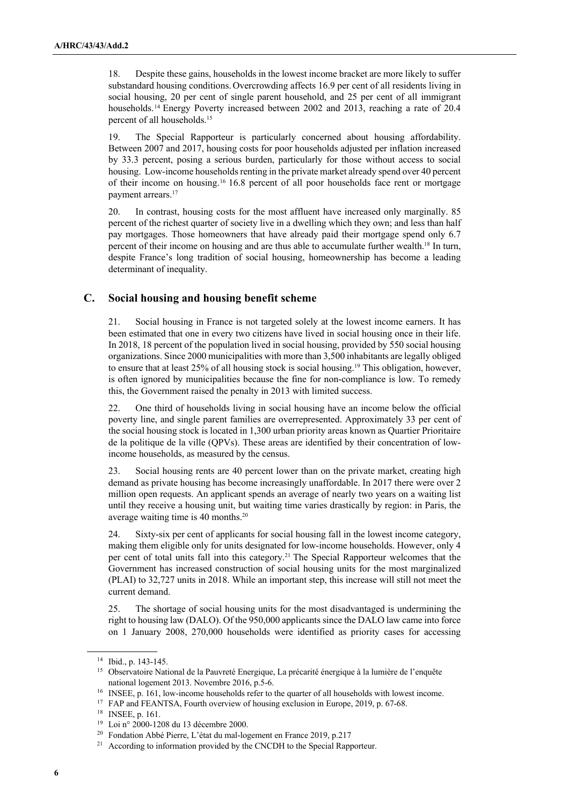18. Despite these gains, households in the lowest income bracket are more likely to suffer substandard housing conditions.Overcrowding affects 16.9 per cent of all residents living in social housing, 20 per cent of single parent household, and 25 per cent of all immigrant households.<sup>14</sup> Energy Poverty increased between 2002 and 2013, reaching a rate of 20.4 percent of all households.<sup>15</sup>

19. The Special Rapporteur is particularly concerned about housing affordability. Between 2007 and 2017, housing costs for poor households adjusted per inflation increased by 33.3 percent, posing a serious burden, particularly for those without access to social housing. Low-income households renting in the private market already spend over 40 percent of their income on housing.16 16.8 percent of all poor households face rent or mortgage payment arrears.<sup>17</sup>

20. In contrast, housing costs for the most affluent have increased only marginally. 85 percent of the richest quarter of society live in a dwelling which they own; and less than half pay mortgages. Those homeowners that have already paid their mortgage spend only 6.7 percent of their income on housing and are thus able to accumulate further wealth.18 In turn, despite France's long tradition of social housing, homeownership has become a leading determinant of inequality.

#### **C. Social housing and housing benefit scheme**

21. Social housing in France is not targeted solely at the lowest income earners. It has been estimated that one in every two citizens have lived in social housing once in their life. In 2018, 18 percent of the population lived in social housing, provided by 550 social housing organizations. Since 2000 municipalities with more than 3,500 inhabitants are legally obliged to ensure that at least 25% of all housing stock is social housing.19 This obligation, however, is often ignored by municipalities because the fine for non-compliance is low. To remedy this, the Government raised the penalty in 2013 with limited success.

22. One third of households living in social housing have an income below the official poverty line, and single parent families are overrepresented. Approximately 33 per cent of the social housing stock is located in 1,300 urban priority areas known as Quartier Prioritaire de la politique de la ville (QPVs). These areas are identified by their concentration of lowincome households, as measured by the census.

23. Social housing rents are 40 percent lower than on the private market, creating high demand as private housing has become increasingly unaffordable. In 2017 there were over 2 million open requests. An applicant spends an average of nearly two years on a waiting list until they receive a housing unit, but waiting time varies drastically by region: in Paris, the average waiting time is 40 months.20

24. Sixty-six per cent of applicants for social housing fall in the lowest income category, making them eligible only for units designated for low-income households. However, only 4 per cent of total units fall into this category. <sup>21</sup> The Special Rapporteur welcomes that the Government has increased construction of social housing units for the most marginalized (PLAI) to 32,727 units in 2018. While an important step, this increase will still not meet the current demand.

25. The shortage of social housing units for the most disadvantaged is undermining the right to housing law (DALO). Of the 950,000 applicants since the DALO law came into force on 1 January 2008, 270,000 households were identified as priority cases for accessing

<sup>14</sup> Ibid., p. 143-145.

<sup>&</sup>lt;sup>15</sup> Observatoire National de la Pauvreté Energique, La précarité énergique à la lumière de l'enquête national logement 2013. Novembre 2016, p.5-6.<br><sup>16</sup> INSEE, p. 161, low-income households refer to the quarter of all households with lowest income.

<sup>&</sup>lt;sup>17</sup> FAP and FEANTSA, Fourth overview of housing exclusion in Europe, 2019, p. 67-68.

<sup>18</sup> INSEE, p. 161.

<sup>19</sup> Loi n° 2000-1208 du 13 décembre 2000.

<sup>20</sup> Fondation Abbé Pierre, L'état du mal-logement en France 2019, p.217

<sup>&</sup>lt;sup>21</sup> According to information provided by the CNCDH to the Special Rapporteur.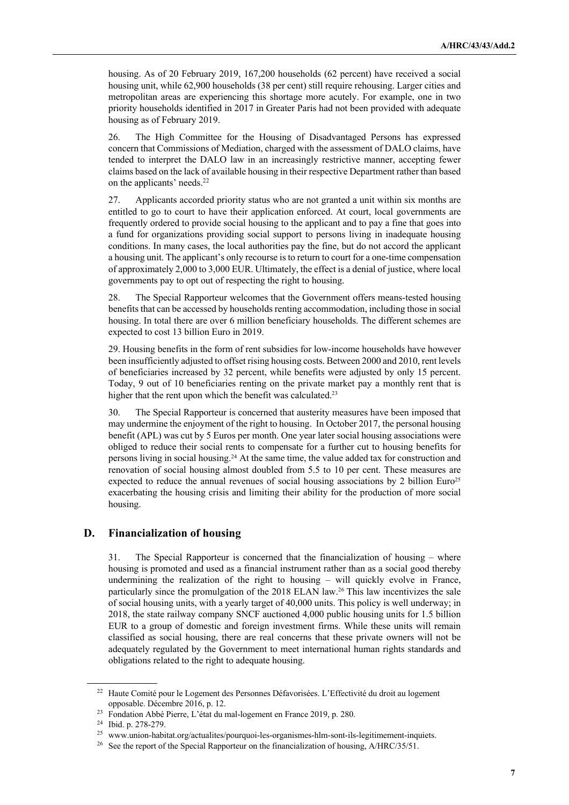housing. As of 20 February 2019, 167,200 households (62 percent) have received a social housing unit, while 62,900 households (38 per cent) still require rehousing. Larger cities and metropolitan areas are experiencing this shortage more acutely. For example, one in two priority households identified in 2017 in Greater Paris had not been provided with adequate housing as of February 2019.

26. The High Committee for the Housing of Disadvantaged Persons has expressed concern that Commissions of Mediation, charged with the assessment of DALO claims, have tended to interpret the DALO law in an increasingly restrictive manner, accepting fewer claims based on the lack of available housing in their respective Department rather than based on the applicants' needs.22

27. Applicants accorded priority status who are not granted a unit within six months are entitled to go to court to have their application enforced. At court, local governments are frequently ordered to provide social housing to the applicant and to pay a fine that goes into a fund for organizations providing social support to persons living in inadequate housing conditions. In many cases, the local authorities pay the fine, but do not accord the applicant a housing unit. The applicant's only recourse is to return to court for a one-time compensation of approximately 2,000 to 3,000 EUR. Ultimately, the effect is a denial of justice, where local governments pay to opt out of respecting the right to housing.

28. The Special Rapporteur welcomes that the Government offers means-tested housing benefits that can be accessed by households renting accommodation, including those in social housing. In total there are over 6 million beneficiary households. The different schemes are expected to cost 13 billion Euro in 2019.

29. Housing benefits in the form of rent subsidies for low-income households have however been insufficiently adjusted to offset rising housing costs. Between 2000 and 2010, rent levels of beneficiaries increased by 32 percent, while benefits were adjusted by only 15 percent. Today, 9 out of 10 beneficiaries renting on the private market pay a monthly rent that is higher that the rent upon which the benefit was calculated.<sup>23</sup>

30. The Special Rapporteur is concerned that austerity measures have been imposed that may undermine the enjoyment of the right to housing. In October 2017, the personal housing benefit (APL) was cut by 5 Euros per month. One year later social housing associations were obliged to reduce their social rents to compensate for a further cut to housing benefits for persons living in social housing. <sup>24</sup> At the same time, the value added tax for construction and renovation of social housing almost doubled from 5.5 to 10 per cent. These measures are expected to reduce the annual revenues of social housing associations by 2 billion Euro<sup>25</sup> exacerbating the housing crisis and limiting their ability for the production of more social housing.

#### **D. Financialization of housing**

31. The Special Rapporteur is concerned that the financialization of housing – where housing is promoted and used as a financial instrument rather than as a social good thereby undermining the realization of the right to housing – will quickly evolve in France, particularly since the promulgation of the 2018 ELAN law.<sup>26</sup> This law incentivizes the sale of social housing units, with a yearly target of 40,000 units. This policy is well underway; in 2018, the state railway company SNCF auctioned 4,000 public housing units for 1.5 billion EUR to a group of domestic and foreign investment firms. While these units will remain classified as social housing, there are real concerns that these private owners will not be adequately regulated by the Government to meet international human rights standards and obligations related to the right to adequate housing.

<sup>&</sup>lt;sup>22</sup> Haute Comité pour le Logement des Personnes Défavorisées. L'Effectivité du droit au logement opposable. Décembre 2016, p. 12.

<sup>&</sup>lt;sup>23</sup> Fondation Abbé Pierre, L'état du mal-logement en France 2019, p. 280.

<sup>24</sup> Ibid. p. 278-279.

<sup>25</sup> www.union-habitat.org/actualites/pourquoi-les-organismes-hlm-sont-ils-legitimement-inquiets.

<sup>&</sup>lt;sup>26</sup> See the report of the Special Rapporteur on the financialization of housing, A/HRC/35/51.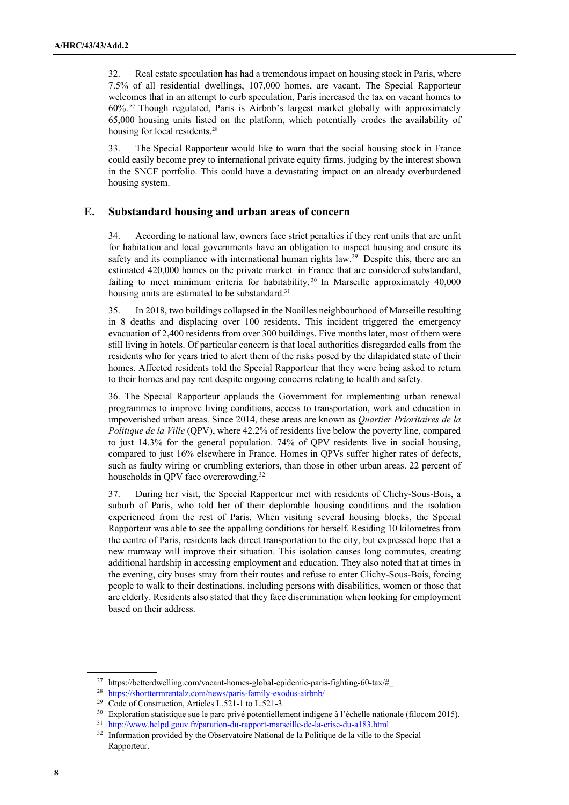32. Real estate speculation has had a tremendous impact on housing stock in Paris, where 7.5% of all residential dwellings, 107,000 homes, are vacant. The Special Rapporteur welcomes that in an attempt to curb speculation, Paris increased the tax on vacant homes to 60%. <sup>27</sup> Though regulated, Paris is Airbnb's largest market globally with approximately 65,000 housing units listed on the platform, which potentially erodes the availability of housing for local residents.<sup>28</sup>

33. The Special Rapporteur would like to warn that the social housing stock in France could easily become prey to international private equity firms, judging by the interest shown in the SNCF portfolio. This could have a devastating impact on an already overburdened housing system.

#### **E. Substandard housing and urban areas of concern**

34. According to national law, owners face strict penalties if they rent units that are unfit for habitation and local governments have an obligation to inspect housing and ensure its safety and its compliance with international human rights law.<sup>29</sup> Despite this, there are an estimated 420,000 homes on the private market in France that are considered substandard, failing to meet minimum criteria for habitability.<sup>30</sup> In Marseille approximately 40,000 housing units are estimated to be substandard.<sup>31</sup>

35. In 2018, two buildings collapsed in the Noailles neighbourhood of Marseille resulting in 8 deaths and displacing over 100 residents. This incident triggered the emergency evacuation of 2,400 residents from over 300 buildings. Five months later, most of them were still living in hotels. Of particular concern is that local authorities disregarded calls from the residents who for years tried to alert them of the risks posed by the dilapidated state of their homes. Affected residents told the Special Rapporteur that they were being asked to return to their homes and pay rent despite ongoing concerns relating to health and safety.

36. The Special Rapporteur applauds the Government for implementing urban renewal programmes to improve living conditions, access to transportation, work and education in impoverished urban areas. Since 2014, these areas are known as *Quartier Prioritaires de la Politique de la Ville* (QPV), where 42.2% of residents live below the poverty line, compared to just 14.3% for the general population. 74% of QPV residents live in social housing, compared to just 16% elsewhere in France. Homes in QPVs suffer higher rates of defects, such as faulty wiring or crumbling exteriors, than those in other urban areas. 22 percent of households in QPV face overcrowding.<sup>32</sup>

37. During her visit, the Special Rapporteur met with residents of Clichy-Sous-Bois, a suburb of Paris, who told her of their deplorable housing conditions and the isolation experienced from the rest of Paris. When visiting several housing blocks, the Special Rapporteur was able to see the appalling conditions for herself. Residing 10 kilometres from the centre of Paris, residents lack direct transportation to the city, but expressed hope that a new tramway will improve their situation. This isolation causes long commutes, creating additional hardship in accessing employment and education. They also noted that at times in the evening, city buses stray from their routes and refuse to enter Clichy-Sous-Bois, forcing people to walk to their destinations, including persons with disabilities, women or those that are elderly. Residents also stated that they face discrimination when looking for employment based on their address.

<sup>27</sup> https://betterdwelling.com/vacant-homes-global-epidemic-paris-fighting-60-tax/#\_

<sup>28</sup> https://shorttermrentalz.com/news/paris-family-exodus-airbnb/

<sup>&</sup>lt;sup>29</sup> Code of Construction, Articles L.521-1 to L.521-3.<br><sup>30</sup> Exploration statistique sue le parc privé potentiellement indigene à l'échelle nationale (filocom 2015).

<sup>31</sup> http://www.hclpd.gouv.fr/parution-du-rapport-marseille-de-la-crise-du-a183.html

<sup>&</sup>lt;sup>32</sup> Information provided by the Observatoire National de la Politique de la ville to the Special Rapporteur.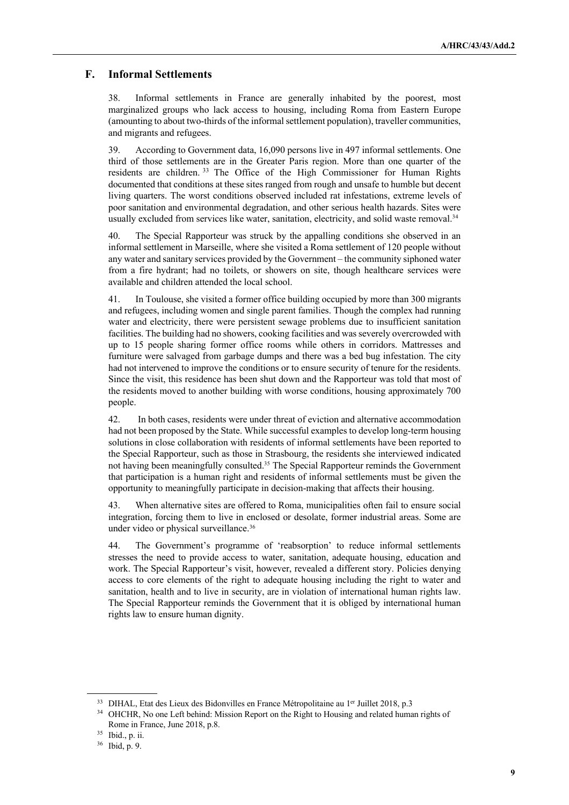#### **F. Informal Settlements**

38. Informal settlements in France are generally inhabited by the poorest, most marginalized groups who lack access to housing, including Roma from Eastern Europe (amounting to about two-thirds of the informal settlement population), traveller communities, and migrants and refugees.

39. According to Government data, 16,090 persons live in 497 informal settlements. One third of those settlements are in the Greater Paris region. More than one quarter of the residents are children. <sup>33</sup> The Office of the High Commissioner for Human Rights documented that conditions at these sites ranged from rough and unsafe to humble but decent living quarters. The worst conditions observed included rat infestations, extreme levels of poor sanitation and environmental degradation, and other serious health hazards. Sites were usually excluded from services like water, sanitation, electricity, and solid waste removal.<sup>34</sup>

40. The Special Rapporteur was struck by the appalling conditions she observed in an informal settlement in Marseille, where she visited a Roma settlement of 120 people without any water and sanitary services provided by the Government – the community siphoned water from a fire hydrant; had no toilets, or showers on site, though healthcare services were available and children attended the local school.

41. In Toulouse, she visited a former office building occupied by more than 300 migrants and refugees, including women and single parent families. Though the complex had running water and electricity, there were persistent sewage problems due to insufficient sanitation facilities. The building had no showers, cooking facilities and was severely overcrowded with up to 15 people sharing former office rooms while others in corridors. Mattresses and furniture were salvaged from garbage dumps and there was a bed bug infestation. The city had not intervened to improve the conditions or to ensure security of tenure for the residents. Since the visit, this residence has been shut down and the Rapporteur was told that most of the residents moved to another building with worse conditions, housing approximately 700 people.

42. In both cases, residents were under threat of eviction and alternative accommodation had not been proposed by the State. While successful examples to develop long-term housing solutions in close collaboration with residents of informal settlements have been reported to the Special Rapporteur, such as those in Strasbourg, the residents she interviewed indicated not having been meaningfully consulted.35 The Special Rapporteur reminds the Government that participation is a human right and residents of informal settlements must be given the opportunity to meaningfully participate in decision-making that affects their housing.

43. When alternative sites are offered to Roma, municipalities often fail to ensure social integration, forcing them to live in enclosed or desolate, former industrial areas. Some are under video or physical surveillance. 36

44. The Government's programme of 'reabsorption' to reduce informal settlements stresses the need to provide access to water, sanitation, adequate housing, education and work. The Special Rapporteur's visit, however, revealed a different story. Policies denying access to core elements of the right to adequate housing including the right to water and sanitation, health and to live in security, are in violation of international human rights law. The Special Rapporteur reminds the Government that it is obliged by international human rights law to ensure human dignity.

<sup>&</sup>lt;sup>33</sup> DIHAL, Etat des Lieux des Bidonvilles en France Métropolitaine au 1<sup>er</sup> Juillet 2018, p.3

<sup>&</sup>lt;sup>34</sup> OHCHR, No one Left behind: Mission Report on the Right to Housing and related human rights of Rome in France, June 2018, p.8.

<sup>35</sup> Ibid., p. ii.

<sup>36</sup> Ibid, p. 9.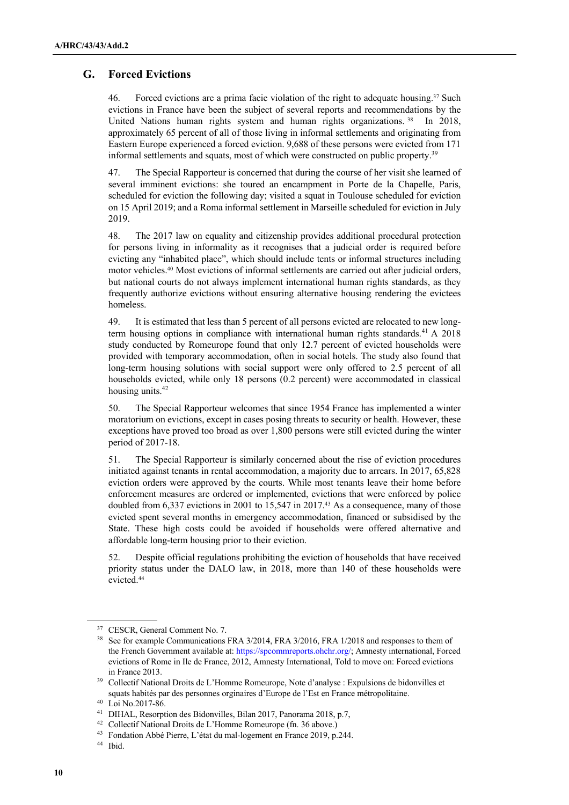#### **G. Forced Evictions**

46. Forced evictions are a prima facie violation of the right to adequate housing.37 Such evictions in France have been the subject of several reports and recommendations by the United Nations human rights system and human rights organizations.<sup>38</sup> In 2018, approximately 65 percent of all of those living in informal settlements and originating from Eastern Europe experienced a forced eviction. 9,688 of these persons were evicted from 171 informal settlements and squats, most of which were constructed on public property.39

47. The Special Rapporteur is concerned that during the course of her visit she learned of several imminent evictions: she toured an encampment in Porte de la Chapelle, Paris, scheduled for eviction the following day; visited a squat in Toulouse scheduled for eviction on 15 April 2019; and a Roma informal settlement in Marseille scheduled for eviction in July 2019.

48. The 2017 law on equality and citizenship provides additional procedural protection for persons living in informality as it recognises that a judicial order is required before evicting any "inhabited place", which should include tents or informal structures including motor vehicles.40 Most evictions of informal settlements are carried out after judicial orders, but national courts do not always implement international human rights standards, as they frequently authorize evictions without ensuring alternative housing rendering the evictees homeless.

49. It is estimated that less than 5 percent of all persons evicted are relocated to new longterm housing options in compliance with international human rights standards.<sup>41</sup> A 2018 study conducted by Romeurope found that only 12.7 percent of evicted households were provided with temporary accommodation, often in social hotels. The study also found that long-term housing solutions with social support were only offered to 2.5 percent of all households evicted, while only 18 persons (0.2 percent) were accommodated in classical housing units.<sup>42</sup>

50. The Special Rapporteur welcomes that since 1954 France has implemented a winter moratorium on evictions, except in cases posing threats to security or health. However, these exceptions have proved too broad as over 1,800 persons were still evicted during the winter period of 2017-18.

51. The Special Rapporteur is similarly concerned about the rise of eviction procedures initiated against tenants in rental accommodation, a majority due to arrears. In 2017, 65,828 eviction orders were approved by the courts. While most tenants leave their home before enforcement measures are ordered or implemented, evictions that were enforced by police doubled from 6,337 evictions in 2001 to 15,547 in 2017.<sup>43</sup> As a consequence, many of those evicted spent several months in emergency accommodation, financed or subsidised by the State. These high costs could be avoided if households were offered alternative and affordable long-term housing prior to their eviction.

52. Despite official regulations prohibiting the eviction of households that have received priority status under the DALO law, in 2018, more than 140 of these households were evicted.44

<sup>&</sup>lt;sup>37</sup> CESCR, General Comment No. 7.<br><sup>38</sup> See for example Communications FRA 3/2014, FRA 3/2016, FRA 1/2018 and responses to them of the French Government available at: https://spcommreports.ohchr.org/; Amnesty international, Forced evictions of Rome in Ile de France, 2012, Amnesty International, Told to move on: Forced evictions in France 2013.

<sup>39</sup> Collectif National Droits de L'Homme Romeurope, Note d'analyse : Expulsions de bidonvilles et squats habités par des personnes orginaires d'Europe de l'Est en France métropolitaine.<br>
<sup>40</sup> Loi No.2017-86.<br>
<sup>41</sup> DIHAL, Resorption des Bidonvilles, Bilan 2017, Panorama 2018, p.7,

<sup>&</sup>lt;sup>42</sup> Collectif National Droits de L'Homme Romeurope (fn. 36 above.) <sup>43</sup> Fondation Abbé Pierre, L'état du mal-logement en France 2019, p.244.

<sup>44</sup> Ibid.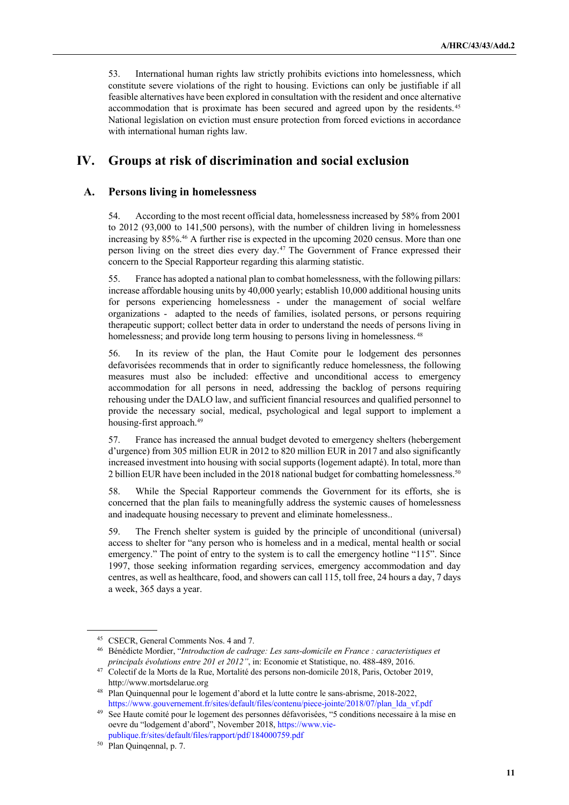53. International human rights law strictly prohibits evictions into homelessness, which constitute severe violations of the right to housing. Evictions can only be justifiable if all feasible alternatives have been explored in consultation with the resident and once alternative accommodation that is proximate has been secured and agreed upon by the residents.45 National legislation on eviction must ensure protection from forced evictions in accordance with international human rights law.

## **IV. Groups at risk of discrimination and social exclusion**

#### **A. Persons living in homelessness**

54. According to the most recent official data, homelessness increased by 58% from 2001 to 2012 (93,000 to 141,500 persons), with the number of children living in homelessness increasing by 85%.46 A further rise is expected in the upcoming 2020 census. More than one person living on the street dies every day.47 The Government of France expressed their concern to the Special Rapporteur regarding this alarming statistic.

55. France has adopted a national plan to combat homelessness, with the following pillars: increase affordable housing units by 40,000 yearly; establish 10,000 additional housing units for persons experiencing homelessness - under the management of social welfare organizations - adapted to the needs of families, isolated persons, or persons requiring therapeutic support; collect better data in order to understand the needs of persons living in homelessness; and provide long term housing to persons living in homelessness.<sup>48</sup>

56. In its review of the plan, the Haut Comite pour le lodgement des personnes defavorisées recommends that in order to significantly reduce homelessness, the following measures must also be included: effective and unconditional access to emergency accommodation for all persons in need, addressing the backlog of persons requiring rehousing under the DALO law, and sufficient financial resources and qualified personnel to provide the necessary social, medical, psychological and legal support to implement a housing-first approach.<sup>49</sup>

57. France has increased the annual budget devoted to emergency shelters (hebergement d'urgence) from 305 million EUR in 2012 to 820 million EUR in 2017 and also significantly increased investment into housing with social supports (logement adapté). In total, more than 2 billion EUR have been included in the 2018 national budget for combatting homelessness.<sup>50</sup>

58. While the Special Rapporteur commends the Government for its efforts, she is concerned that the plan fails to meaningfully address the systemic causes of homelessness and inadequate housing necessary to prevent and eliminate homelessness..

59. The French shelter system is guided by the principle of unconditional (universal) access to shelter for "any person who is homeless and in a medical, mental health or social emergency." The point of entry to the system is to call the emergency hotline "115". Since 1997, those seeking information regarding services, emergency accommodation and day centres, as well as healthcare, food, and showers can call 115, toll free, 24 hours a day, 7 days a week, 365 days a year.

<sup>45</sup> CSECR, General Comments Nos. 4 and 7.

<sup>46</sup> Bénédicte Mordier, "*Introduction de cadrage: Les sans-domicile en France : caracteristiques et principals évolutions entre 201 et 2012"*, in: Economie et Statistique, no. 488-489, 2016.

<sup>47</sup> Colectif de la Morts de la Rue, Mortalité des persons non-domicile 2018, Paris, October 2019, http://www.mortsdelarue.org

<sup>48</sup> Plan Quinquennal pour le logement d'abord et la lutte contre le sans-abrisme, 2018-2022, https://www.gouvernement.fr/sites/default/files/contenu/piece-jointe/2018/07/plan\_lda\_vf.pdf

See Haute comité pour le logement des personnes défavorisées, "5 conditions necessaire à la mise en oevre du "lodgement d'abord", November 2018, https://www.viepublique.fr/sites/default/files/rapport/pdf/184000759.pdf

<sup>50</sup> Plan Quinqennal, p. 7.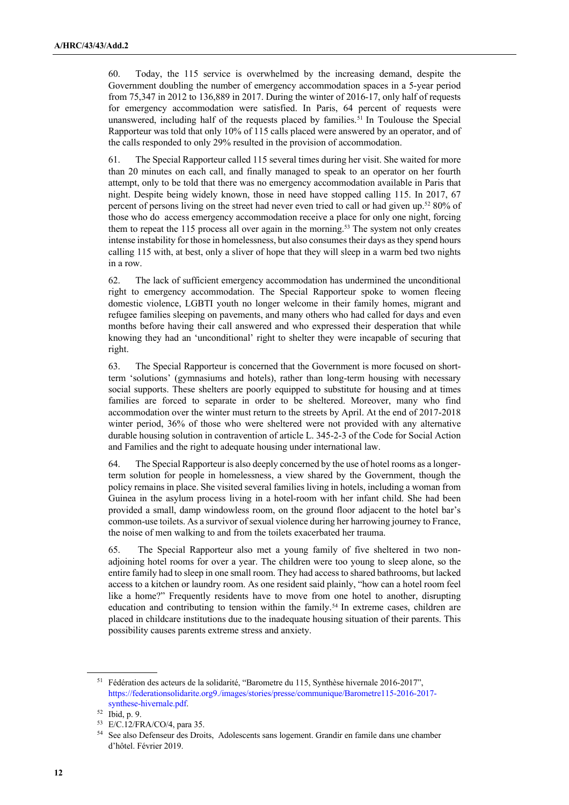60. Today, the 115 service is overwhelmed by the increasing demand, despite the Government doubling the number of emergency accommodation spaces in a 5-year period from 75,347 in 2012 to 136,889 in 2017. During the winter of 2016-17, only half of requests for emergency accommodation were satisfied. In Paris, 64 percent of requests were unanswered, including half of the requests placed by families.<sup>51</sup> In Toulouse the Special Rapporteur was told that only 10% of 115 calls placed were answered by an operator, and of the calls responded to only 29% resulted in the provision of accommodation.

61. The Special Rapporteur called 115 several times during her visit. She waited for more than 20 minutes on each call, and finally managed to speak to an operator on her fourth attempt, only to be told that there was no emergency accommodation available in Paris that night. Despite being widely known, those in need have stopped calling 115. In 2017, 67 percent of persons living on the street had never even tried to call or had given up.52 80% of those who do access emergency accommodation receive a place for only one night, forcing them to repeat the 115 process all over again in the morning.<sup>53</sup> The system not only creates intense instability for those in homelessness, but also consumes their days as they spend hours calling 115 with, at best, only a sliver of hope that they will sleep in a warm bed two nights in a row.

62. The lack of sufficient emergency accommodation has undermined the unconditional right to emergency accommodation. The Special Rapporteur spoke to women fleeing domestic violence, LGBTI youth no longer welcome in their family homes, migrant and refugee families sleeping on pavements, and many others who had called for days and even months before having their call answered and who expressed their desperation that while knowing they had an 'unconditional' right to shelter they were incapable of securing that right.

63. The Special Rapporteur is concerned that the Government is more focused on shortterm 'solutions' (gymnasiums and hotels), rather than long-term housing with necessary social supports. These shelters are poorly equipped to substitute for housing and at times families are forced to separate in order to be sheltered. Moreover, many who find accommodation over the winter must return to the streets by April. At the end of 2017-2018 winter period, 36% of those who were sheltered were not provided with any alternative durable housing solution in contravention of article L. 345-2-3 of the Code for Social Action and Families and the right to adequate housing under international law.

64. The Special Rapporteur is also deeply concerned by the use of hotel rooms as a longerterm solution for people in homelessness, a view shared by the Government, though the policy remains in place. She visited several families living in hotels, including a woman from Guinea in the asylum process living in a hotel-room with her infant child. She had been provided a small, damp windowless room, on the ground floor adjacent to the hotel bar's common-use toilets. As a survivor of sexual violence during her harrowing journey to France, the noise of men walking to and from the toilets exacerbated her trauma.

65. The Special Rapporteur also met a young family of five sheltered in two nonadjoining hotel rooms for over a year. The children were too young to sleep alone, so the entire family had to sleep in one small room. They had access to shared bathrooms, but lacked access to a kitchen or laundry room. As one resident said plainly, "how can a hotel room feel like a home?" Frequently residents have to move from one hotel to another, disrupting education and contributing to tension within the family.<sup>54</sup> In extreme cases, children are placed in childcare institutions due to the inadequate housing situation of their parents. This possibility causes parents extreme stress and anxiety.

<sup>&</sup>lt;sup>51</sup> Fédération des acteurs de la solidarité, "Barometre du 115, Synthèse hivernale 2016-2017", https://federationsolidarite.org9./images/stories/presse/communique/Barometre115-2016-2017 synthese-hivernale.pdf.<br><sup>52</sup> Ibid, p. 9.

<sup>53</sup> E/C.12/FRA/CO/4, para 35.

<sup>54</sup> See also Defenseur des Droits, Adolescents sans logement. Grandir en famile dans une chamber d'hôtel. Février 2019.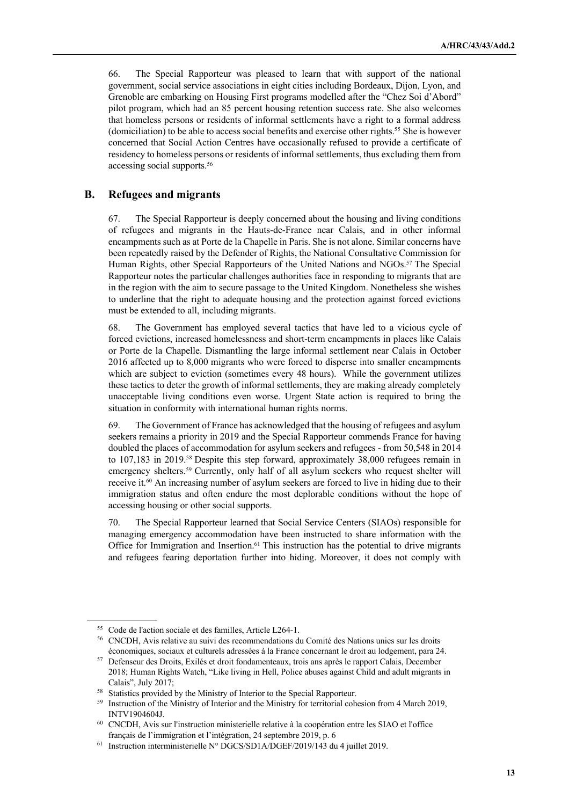66. The Special Rapporteur was pleased to learn that with support of the national government, social service associations in eight cities including Bordeaux, Dijon, Lyon, and Grenoble are embarking on Housing First programs modelled after the "Chez Soi d'Abord" pilot program, which had an 85 percent housing retention success rate. She also welcomes that homeless persons or residents of informal settlements have a right to a formal address (domiciliation) to be able to access social benefits and exercise other rights.55 She is however concerned that Social Action Centres have occasionally refused to provide a certificate of residency to homeless persons or residents of informal settlements, thus excluding them from accessing social supports.56

#### **B. Refugees and migrants**

67. The Special Rapporteur is deeply concerned about the housing and living conditions of refugees and migrants in the Hauts-de-France near Calais, and in other informal encampments such as at Porte de la Chapelle in Paris. She is not alone. Similar concerns have been repeatedly raised by the Defender of Rights, the National Consultative Commission for Human Rights, other Special Rapporteurs of the United Nations and NGOs.<sup>57</sup> The Special Rapporteur notes the particular challenges authorities face in responding to migrants that are in the region with the aim to secure passage to the United Kingdom. Nonetheless she wishes to underline that the right to adequate housing and the protection against forced evictions must be extended to all, including migrants.

68. The Government has employed several tactics that have led to a vicious cycle of forced evictions, increased homelessness and short-term encampments in places like Calais or Porte de la Chapelle. Dismantling the large informal settlement near Calais in October 2016 affected up to 8,000 migrants who were forced to disperse into smaller encampments which are subject to eviction (sometimes every 48 hours). While the government utilizes these tactics to deter the growth of informal settlements, they are making already completely unacceptable living conditions even worse. Urgent State action is required to bring the situation in conformity with international human rights norms.

69. The Government of France has acknowledged that the housing of refugees and asylum seekers remains a priority in 2019 and the Special Rapporteur commends France for having doubled the places of accommodation for asylum seekers and refugees - from 50,548 in 2014 to 107,183 in 2019.58 Despite this step forward, approximately 38,000 refugees remain in emergency shelters.<sup>59</sup> Currently, only half of all asylum seekers who request shelter will receive it.<sup>60</sup> An increasing number of asylum seekers are forced to live in hiding due to their immigration status and often endure the most deplorable conditions without the hope of accessing housing or other social supports.

70. The Special Rapporteur learned that Social Service Centers (SIAOs) responsible for managing emergency accommodation have been instructed to share information with the Office for Immigration and Insertion.<sup>61</sup> This instruction has the potential to drive migrants and refugees fearing deportation further into hiding. Moreover, it does not comply with

<sup>55</sup> Code de l'action sociale et des familles, Article L264-1.

<sup>56</sup> CNCDH, Avis relative au suivi des recommendations du Comité des Nations unies sur les droits économiques, sociaux et culturels adressées à la France concernant le droit au lodgement, para 24.

<sup>57</sup> Defenseur des Droits, Exilés et droit fondamenteaux, trois ans après le rapport Calais, December 2018; Human Rights Watch, "Like living in Hell, Police abuses against Child and adult migrants in Calais", July 2017;<br><sup>58</sup> Statistics provided by the Ministry of Interior to the Special Rapporteur.

<sup>&</sup>lt;sup>59</sup> Instruction of the Ministry of Interior and the Ministry for territorial cohesion from 4 March 2019, INTV1904604J.

<sup>60</sup> CNCDH, Avis sur l'instruction ministerielle relative à la coopération entre les SIAO et l'office français de l'immigration et l'intégration, 24 septembre 2019, p. 6

<sup>61</sup> Instruction interministerielle N° DGCS/SD1A/DGEF/2019/143 du 4 juillet 2019.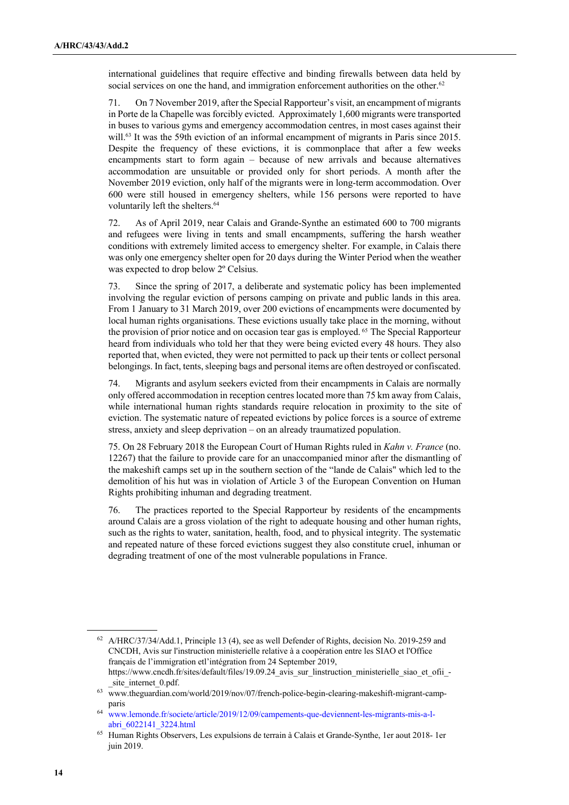international guidelines that require effective and binding firewalls between data held by social services on one the hand, and immigration enforcement authorities on the other.<sup>62</sup>

71. On 7 November 2019, after the Special Rapporteur's visit, an encampment of migrants in Porte de la Chapelle was forcibly evicted. Approximately 1,600 migrants were transported in buses to various gyms and emergency accommodation centres, in most cases against their will.<sup>63</sup> It was the 59th eviction of an informal encampment of migrants in Paris since 2015. Despite the frequency of these evictions, it is commonplace that after a few weeks encampments start to form again – because of new arrivals and because alternatives accommodation are unsuitable or provided only for short periods. A month after the November 2019 eviction, only half of the migrants were in long-term accommodation. Over 600 were still housed in emergency shelters, while 156 persons were reported to have voluntarily left the shelters.<sup>64</sup>

72. As of April 2019, near Calais and Grande-Synthe an estimated 600 to 700 migrants and refugees were living in tents and small encampments, suffering the harsh weather conditions with extremely limited access to emergency shelter. For example, in Calais there was only one emergency shelter open for 20 days during the Winter Period when the weather was expected to drop below 2º Celsius.

73. Since the spring of 2017, a deliberate and systematic policy has been implemented involving the regular eviction of persons camping on private and public lands in this area. From 1 January to 31 March 2019, over 200 evictions of encampments were documented by local human rights organisations. These evictions usually take place in the morning, without the provision of prior notice and on occasion tear gas is employed. <sup>65</sup> The Special Rapporteur heard from individuals who told her that they were being evicted every 48 hours. They also reported that, when evicted, they were not permitted to pack up their tents or collect personal belongings. In fact, tents, sleeping bags and personal items are often destroyed or confiscated.

74. Migrants and asylum seekers evicted from their encampments in Calais are normally only offered accommodation in reception centres located more than 75 km away from Calais, while international human rights standards require relocation in proximity to the site of eviction. The systematic nature of repeated evictions by police forces is a source of extreme stress, anxiety and sleep deprivation – on an already traumatized population.

75. On 28 February 2018 the European Court of Human Rights ruled in *Kahn v. France* (no. 12267) that the failure to provide care for an unaccompanied minor after the dismantling of the makeshift camps set up in the southern section of the "lande de Calais" which led to the demolition of his hut was in violation of Article 3 of the European Convention on Human Rights prohibiting inhuman and degrading treatment.

76. The practices reported to the Special Rapporteur by residents of the encampments around Calais are a gross violation of the right to adequate housing and other human rights, such as the rights to water, sanitation, health, food, and to physical integrity. The systematic and repeated nature of these forced evictions suggest they also constitute cruel, inhuman or degrading treatment of one of the most vulnerable populations in France.

 $62$  A/HRC/37/34/Add.1, Principle 13 (4), see as well Defender of Rights, decision No. 2019-259 and CNCDH, Avis sur l'instruction ministerielle relative à a coopération entre les SIAO et l'Office français de l'immigration etl'intégration from 24 September 2019, https://www.cncdh.fr/sites/default/files/19.09.24\_avis\_sur\_linstruction\_ministerielle\_siao\_et\_ofii\_ site\_internet\_0.pdf.

<sup>63</sup> www.theguardian.com/world/2019/nov/07/french-police-begin-clearing-makeshift-migrant-campparis

<sup>64</sup> www.lemonde.fr/societe/article/2019/12/09/campements-que-deviennent-les-migrants-mis-a-l-

abri\_6022141\_3224.html<br>Human Rights Observers, Les expulsions de terrain à Calais et Grande-Synthe, 1er aout 2018- 1er juin 2019.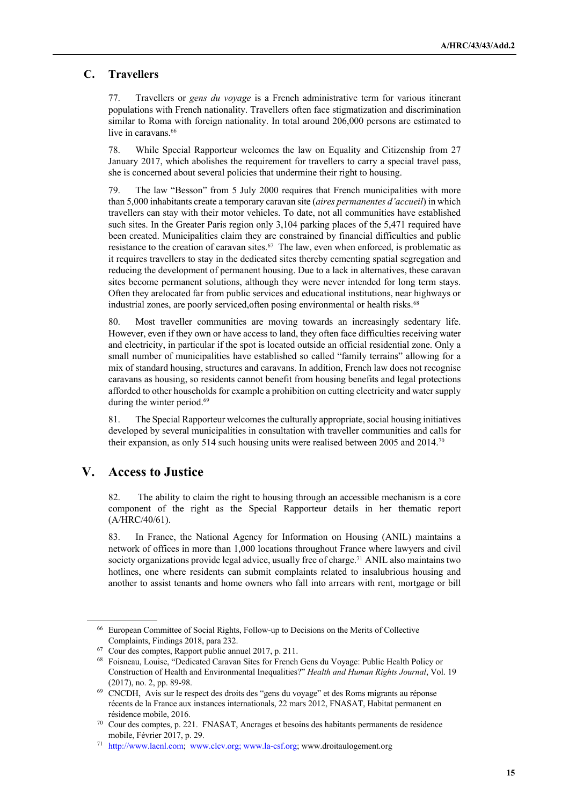#### **C. Travellers**

77. Travellers or *gens du voyage* is a French administrative term for various itinerant populations with French nationality. Travellers often face stigmatization and discrimination similar to Roma with foreign nationality. In total around 206,000 persons are estimated to live in caravans. 66

78. While Special Rapporteur welcomes the law on Equality and Citizenship from 27 January 2017, which abolishes the requirement for travellers to carry a special travel pass, she is concerned about several policies that undermine their right to housing.

79. The law "Besson" from 5 July 2000 requires that French municipalities with more than 5,000 inhabitants create a temporary caravan site (*aires permanentes d'accueil*) in which travellers can stay with their motor vehicles. To date, not all communities have established such sites. In the Greater Paris region only 3,104 parking places of the 5,471 required have been created. Municipalities claim they are constrained by financial difficulties and public resistance to the creation of caravan sites.<sup>67</sup> The law, even when enforced, is problematic as it requires travellers to stay in the dedicated sites thereby cementing spatial segregation and reducing the development of permanent housing. Due to a lack in alternatives, these caravan sites become permanent solutions, although they were never intended for long term stays. Often they arelocated far from public services and educational institutions, near highways or industrial zones, are poorly serviced, often posing environmental or health risks.<sup>68</sup>

80. Most traveller communities are moving towards an increasingly sedentary life. However, even if they own or have access to land, they often face difficulties receiving water and electricity, in particular if the spot is located outside an official residential zone. Only a small number of municipalities have established so called "family terrains" allowing for a mix of standard housing, structures and caravans. In addition, French law does not recognise caravans as housing, so residents cannot benefit from housing benefits and legal protections afforded to other households for example a prohibition on cutting electricity and water supply during the winter period.<sup>69</sup>

81. The Special Rapporteur welcomes the culturally appropriate, social housing initiatives developed by several municipalities in consultation with traveller communities and calls for their expansion, as only 514 such housing units were realised between 2005 and 2014.<sup>70</sup>

## **V. Access to Justice**

82. The ability to claim the right to housing through an accessible mechanism is a core component of the right as the Special Rapporteur details in her thematic report (A/HRC/40/61).

83. In France, the National Agency for Information on Housing (ANIL) maintains a network of offices in more than 1,000 locations throughout France where lawyers and civil society organizations provide legal advice, usually free of charge.<sup>71</sup> ANIL also maintains two hotlines, one where residents can submit complaints related to insalubrious housing and another to assist tenants and home owners who fall into arrears with rent, mortgage or bill

<sup>66</sup> European Committee of Social Rights, Follow-up to Decisions on the Merits of Collective Complaints, Findings 2018, para 232.

<sup>67</sup> Cour des comptes, Rapport public annuel 2017, p. 211.

<sup>68</sup> Foisneau, Louise, "Dedicated Caravan Sites for French Gens du Voyage: Public Health Policy or Construction of Health and Environmental Inequalities?" *Health and Human Rights Journal*, Vol. 19 (2017), no. 2, pp. 89-98.

<sup>69</sup> CNCDH, Avis sur le respect des droits des "gens du voyage" et des Roms migrants au réponse récents de la France aux instances internationals, 22 mars 2012, FNASAT, Habitat permanent en résidence mobile, 2016.

 $70$  Cour des comptes, p. 221. FNASAT, Ancrages et besoins des habitants permanents de residence mobile, Février 2017, p. 29.

<sup>71</sup> http://www.lacnl.com; www.clcv.org; www.la-csf.org; www.droitaulogement.org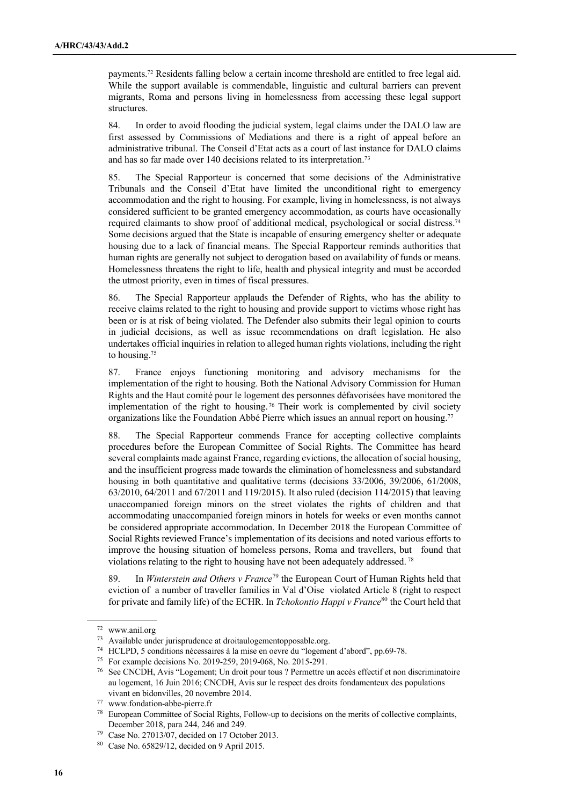payments.72 Residents falling below a certain income threshold are entitled to free legal aid. While the support available is commendable, linguistic and cultural barriers can prevent migrants, Roma and persons living in homelessness from accessing these legal support structures.

84. In order to avoid flooding the judicial system, legal claims under the DALO law are first assessed by Commissions of Mediations and there is a right of appeal before an administrative tribunal. The Conseil d'Etat acts as a court of last instance for DALO claims and has so far made over 140 decisions related to its interpretation.73

85. The Special Rapporteur is concerned that some decisions of the Administrative Tribunals and the Conseil d'Etat have limited the unconditional right to emergency accommodation and the right to housing. For example, living in homelessness, is not always considered sufficient to be granted emergency accommodation, as courts have occasionally required claimants to show proof of additional medical, psychological or social distress.74 Some decisions argued that the State is incapable of ensuring emergency shelter or adequate housing due to a lack of financial means. The Special Rapporteur reminds authorities that human rights are generally not subject to derogation based on availability of funds or means. Homelessness threatens the right to life, health and physical integrity and must be accorded the utmost priority, even in times of fiscal pressures.

86. The Special Rapporteur applauds the Defender of Rights, who has the ability to receive claims related to the right to housing and provide support to victims whose right has been or is at risk of being violated. The Defender also submits their legal opinion to courts in judicial decisions, as well as issue recommendations on draft legislation. He also undertakes official inquiries in relation to alleged human rights violations, including the right to housing.75

87. France enjoys functioning monitoring and advisory mechanisms for the implementation of the right to housing. Both the National Advisory Commission for Human Rights and the Haut comité pour le logement des personnes défavorisées have monitored the implementation of the right to housing. <sup>76</sup> Their work is complemented by civil society organizations like the Foundation Abbé Pierre which issues an annual report on housing.<sup>77</sup>

88. The Special Rapporteur commends France for accepting collective complaints procedures before the European Committee of Social Rights. The Committee has heard several complaints made against France, regarding evictions, the allocation of social housing, and the insufficient progress made towards the elimination of homelessness and substandard housing in both quantitative and qualitative terms (decisions 33/2006, 39/2006, 61/2008, 63/2010, 64/2011 and 67/2011 and 119/2015). It also ruled (decision 114/2015) that leaving unaccompanied foreign minors on the street violates the rights of children and that accommodating unaccompanied foreign minors in hotels for weeks or even months cannot be considered appropriate accommodation. In December 2018 the European Committee of Social Rights reviewed France's implementation of its decisions and noted various efforts to improve the housing situation of homeless persons, Roma and travellers, but found that violations relating to the right to housing have not been adequately addressed. 78

89. In *Winterstein and Others v France*<sup>79</sup> the European Court of Human Rights held that eviction of a number of traveller families in Val d'Oise violated Article 8 (right to respect for private and family life) of the ECHR. In *Tchokontio Happi v France*<sup>80</sup> the Court held that

<sup>72</sup> www.anil.org

<sup>73</sup> Available under jurisprudence at droitaulogementopposable.org.

<sup>74</sup> HCLPD, 5 conditions nécessaires à la mise en oevre du "logement d'abord", pp.69-78.

<sup>75</sup> For example decisions No. 2019-259, 2019-068, No. 2015-291.

<sup>76</sup> See CNCDH, Avis "Logement; Un droit pour tous ? Permettre un accès effectif et non discriminatoire au logement, 16 Juin 2016; CNCDH, Avis sur le respect des droits fondamenteux des populations vivant en bidonvilles, 20 novembre 2014.

<sup>77</sup> www.fondation-abbe-pierre.fr

European Committee of Social Rights, Follow-up to decisions on the merits of collective complaints, December 2018, para 244, 246 and 249. 79 Case No. 27013/07, decided on 17 October 2013.

<sup>80</sup> Case No. 65829/12, decided on 9 April 2015.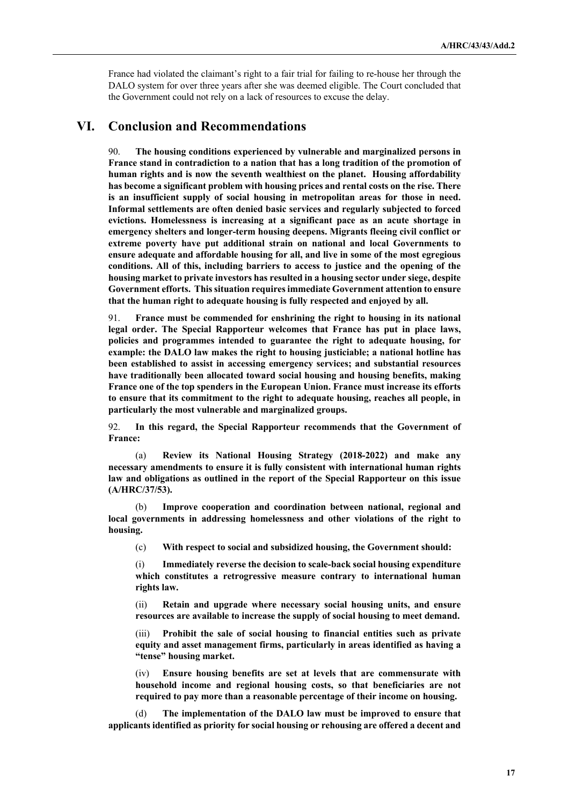France had violated the claimant's right to a fair trial for failing to re-house her through the DALO system for over three years after she was deemed eligible. The Court concluded that the Government could not rely on a lack of resources to excuse the delay.

## **VI. Conclusion and Recommendations**

90. **The housing conditions experienced by vulnerable and marginalized persons in France stand in contradiction to a nation that has a long tradition of the promotion of human rights and is now the seventh wealthiest on the planet. Housing affordability has become a significant problem with housing prices and rental costs on the rise. There is an insufficient supply of social housing in metropolitan areas for those in need. Informal settlements are often denied basic services and regularly subjected to forced evictions. Homelessness is increasing at a significant pace as an acute shortage in emergency shelters and longer-term housing deepens. Migrants fleeing civil conflict or extreme poverty have put additional strain on national and local Governments to ensure adequate and affordable housing for all, and live in some of the most egregious conditions. All of this, including barriers to access to justice and the opening of the housing market to private investors has resulted in a housing sector under siege, despite Government efforts. This situation requires immediate Government attention to ensure that the human right to adequate housing is fully respected and enjoyed by all.**

91. **France must be commended for enshrining the right to housing in its national legal order. The Special Rapporteur welcomes that France has put in place laws, policies and programmes intended to guarantee the right to adequate housing, for example: the DALO law makes the right to housing justiciable; a national hotline has been established to assist in accessing emergency services; and substantial resources have traditionally been allocated toward social housing and housing benefits, making France one of the top spenders in the European Union. France must increase its efforts to ensure that its commitment to the right to adequate housing, reaches all people, in particularly the most vulnerable and marginalized groups.**

92. **In this regard, the Special Rapporteur recommends that the Government of France:**

(a) **Review its National Housing Strategy (2018-2022) and make any necessary amendments to ensure it is fully consistent with international human rights law and obligations as outlined in the report of the Special Rapporteur on this issue (A/HRC/37/53).**

(b) **Improve cooperation and coordination between national, regional and local governments in addressing homelessness and other violations of the right to housing.** 

(c) **With respect to social and subsidized housing, the Government should:** 

(i) **Immediately reverse the decision to scale-back social housing expenditure which constitutes a retrogressive measure contrary to international human rights law.** 

(ii) **Retain and upgrade where necessary social housing units, and ensure resources are available to increase the supply of social housing to meet demand.** 

(iii) **Prohibit the sale of social housing to financial entities such as private equity and asset management firms, particularly in areas identified as having a "tense" housing market.**

(iv) **Ensure housing benefits are set at levels that are commensurate with household income and regional housing costs, so that beneficiaries are not required to pay more than a reasonable percentage of their income on housing.** 

(d) **The implementation of the DALO law must be improved to ensure that applicants identified as priority for social housing or rehousing are offered a decent and**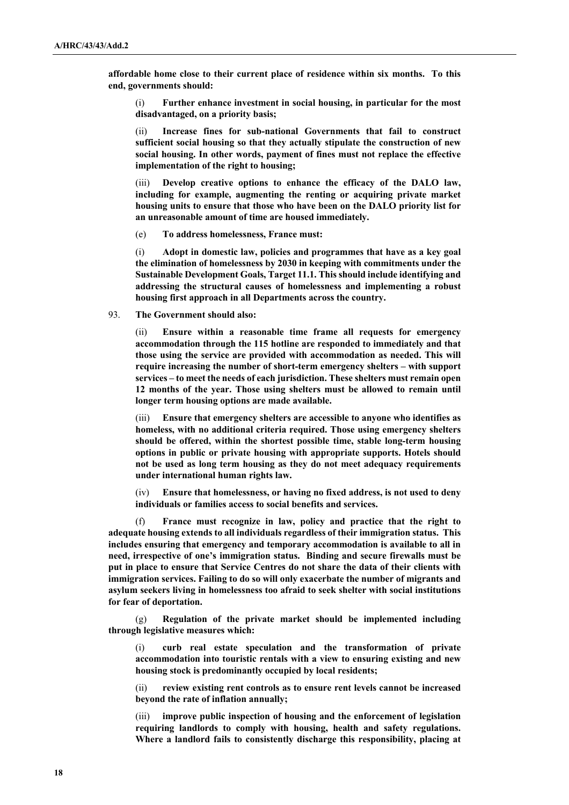**affordable home close to their current place of residence within six months. To this end, governments should:** 

(i) **Further enhance investment in social housing, in particular for the most disadvantaged, on a priority basis;**

(ii) **Increase fines for sub-national Governments that fail to construct sufficient social housing so that they actually stipulate the construction of new social housing. In other words, payment of fines must not replace the effective implementation of the right to housing;**

(iii) **Develop creative options to enhance the efficacy of the DALO law, including for example, augmenting the renting or acquiring private market housing units to ensure that those who have been on the DALO priority list for an unreasonable amount of time are housed immediately.** 

(e) **To address homelessness, France must:** 

(i) **Adopt in domestic law, policies and programmes that have as a key goal the elimination of homelessness by 2030 in keeping with commitments under the Sustainable Development Goals, Target 11.1. This should include identifying and addressing the structural causes of homelessness and implementing a robust housing first approach in all Departments across the country.** 

93. **The Government should also:** 

(ii) **Ensure within a reasonable time frame all requests for emergency accommodation through the 115 hotline are responded to immediately and that those using the service are provided with accommodation as needed. This will require increasing the number of short-term emergency shelters – with support services – to meet the needs of each jurisdiction. These shelters must remain open 12 months of the year. Those using shelters must be allowed to remain until longer term housing options are made available.** 

(iii) **Ensure that emergency shelters are accessible to anyone who identifies as homeless, with no additional criteria required. Those using emergency shelters should be offered, within the shortest possible time, stable long-term housing options in public or private housing with appropriate supports. Hotels should not be used as long term housing as they do not meet adequacy requirements under international human rights law.**

Ensure that homelessness, or having no fixed address, is not used to deny **individuals or families access to social benefits and services.** 

(f) **France must recognize in law, policy and practice that the right to adequate housing extends to all individuals regardless of their immigration status. This includes ensuring that emergency and temporary accommodation is available to all in need, irrespective of one's immigration status. Binding and secure firewalls must be put in place to ensure that Service Centres do not share the data of their clients with immigration services. Failing to do so will only exacerbate the number of migrants and asylum seekers living in homelessness too afraid to seek shelter with social institutions for fear of deportation.**

(g) **Regulation of the private market should be implemented including through legislative measures which:**

(i) **curb real estate speculation and the transformation of private accommodation into touristic rentals with a view to ensuring existing and new housing stock is predominantly occupied by local residents;** 

(ii) **review existing rent controls as to ensure rent levels cannot be increased beyond the rate of inflation annually;** 

(iii) **improve public inspection of housing and the enforcement of legislation requiring landlords to comply with housing, health and safety regulations. Where a landlord fails to consistently discharge this responsibility, placing at**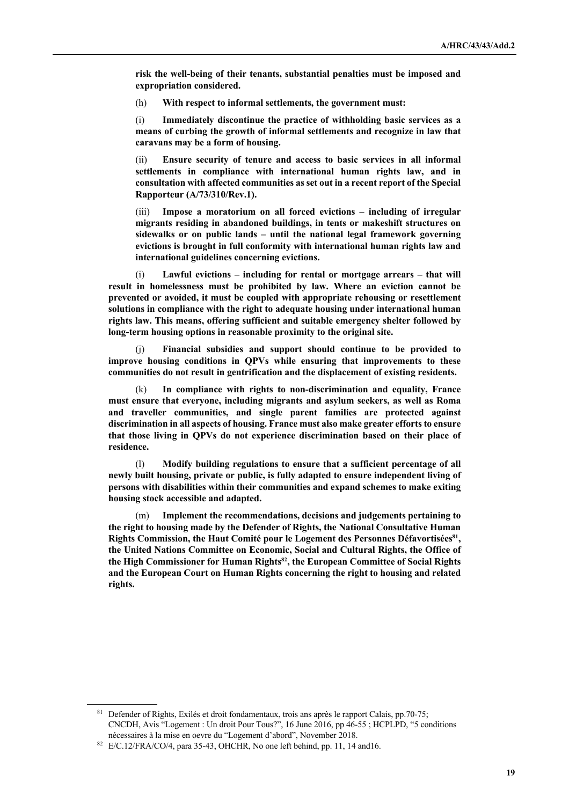**risk the well-being of their tenants, substantial penalties must be imposed and expropriation considered.** 

(h) **With respect to informal settlements, the government must:** 

(i) **Immediately discontinue the practice of withholding basic services as a means of curbing the growth of informal settlements and recognize in law that caravans may be a form of housing.** 

(ii) **Ensure security of tenure and access to basic services in all informal settlements in compliance with international human rights law, and in consultation with affected communities as set out in a recent report of the Special Rapporteur (A/73/310/Rev.1).** 

(iii) **Impose a moratorium on all forced evictions – including of irregular migrants residing in abandoned buildings, in tents or makeshift structures on sidewalks or on public lands – until the national legal framework governing evictions is brought in full conformity with international human rights law and international guidelines concerning evictions.** 

(i) **Lawful evictions – including for rental or mortgage arrears – that will result in homelessness must be prohibited by law. Where an eviction cannot be prevented or avoided, it must be coupled with appropriate rehousing or resettlement solutions in compliance with the right to adequate housing under international human rights law. This means, offering sufficient and suitable emergency shelter followed by long-term housing options in reasonable proximity to the original site.**

(j) **Financial subsidies and support should continue to be provided to improve housing conditions in QPVs while ensuring that improvements to these communities do not result in gentrification and the displacement of existing residents.**

(k) **In compliance with rights to non-discrimination and equality, France must ensure that everyone, including migrants and asylum seekers, as well as Roma and traveller communities, and single parent families are protected against discrimination in all aspects of housing. France must also make greater efforts to ensure that those living in QPVs do not experience discrimination based on their place of residence.** 

(l) **Modify building regulations to ensure that a sufficient percentage of all newly built housing, private or public, is fully adapted to ensure independent living of persons with disabilities within their communities and expand schemes to make exiting housing stock accessible and adapted.**

(m) **Implement the recommendations, decisions and judgements pertaining to the right to housing made by the Defender of Rights, the National Consultative Human**  Rights Commission, the Haut Comité pour le Logement des Personnes Défavortisées<sup>81</sup>, **the United Nations Committee on Economic, Social and Cultural Rights, the Office of the High Commissioner for Human Rights82, the European Committee of Social Rights and the European Court on Human Rights concerning the right to housing and related rights.**

<sup>81</sup> Defender of Rights, Exilés et droit fondamentaux, trois ans après le rapport Calais, pp.70-75; CNCDH, Avis "Logement : Un droit Pour Tous?", 16 June 2016, pp 46-55 ; HCPLPD, "5 conditions

nécessaires à la mise en oevre du "Logement d'abord", November 2018. 82 E/C.12/FRA/CO/4, para 35-43, OHCHR, No one left behind, pp. 11, 14 and16.